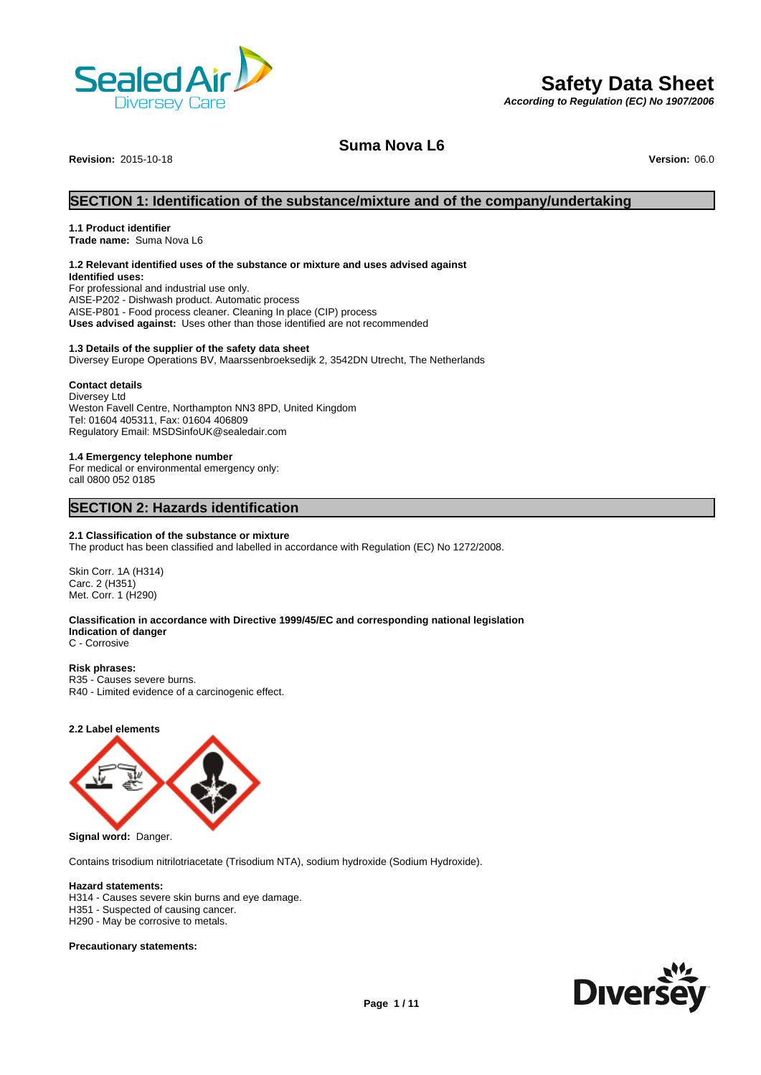

# **Safety Data Sheet**

*According to Regulation (EC) No 1907/2006*

## **Suma Nova L6**

**Revision:** 2015-10-18 **Version:** 06.0

## **SECTION 1: Identification of the substance/mixture and of the company/undertaking**

## **1.1 Product identifier**

**Trade name:** Suma Nova L6

## **1.2 Relevant identified uses of the substance or mixture and uses advised against**

**Identified uses:** For professional and industrial use only. AISE-P202 - Dishwash product. Automatic process AISE-P801 - Food process cleaner. Cleaning In place (CIP) process **Uses advised against:** Uses other than those identified are not recommended

## **1.3 Details of the supplier of the safety data sheet**

Diversey Europe Operations BV, Maarssenbroeksedijk 2, 3542DN Utrecht, The Netherlands

## **Contact details**

Diversey Ltd Weston Favell Centre, Northampton NN3 8PD, United Kingdom Tel: 01604 405311, Fax: 01604 406809 Regulatory Email: MSDSinfoUK@sealedair.com

## **1.4 Emergency telephone number**

For medical or environmental emergency only: call 0800 052 0185

## **SECTION 2: Hazards identification**

## **2.1 Classification of the substance or mixture**

The product has been classified and labelled in accordance with Regulation (EC) No 1272/2008.

Skin Corr. 1A (H314) Carc. 2 (H351) Met. Corr. 1 (H290)

## **Classification in accordance with Directive 1999/45/EC and corresponding national legislation Indication of danger**

C - Corrosive

## **Risk phrases:**

R35 - Causes severe burns. R40 - Limited evidence of a carcinogenic effect.

## **2.2 Label elements**



**Signal word:** Danger.

Contains trisodium nitrilotriacetate (Trisodium NTA), sodium hydroxide (Sodium Hydroxide).

#### **Hazard statements:**

H314 - Causes severe skin burns and eye damage. H351 - Suspected of causing cancer.

H290 - May be corrosive to metals.

## **Precautionary statements:**

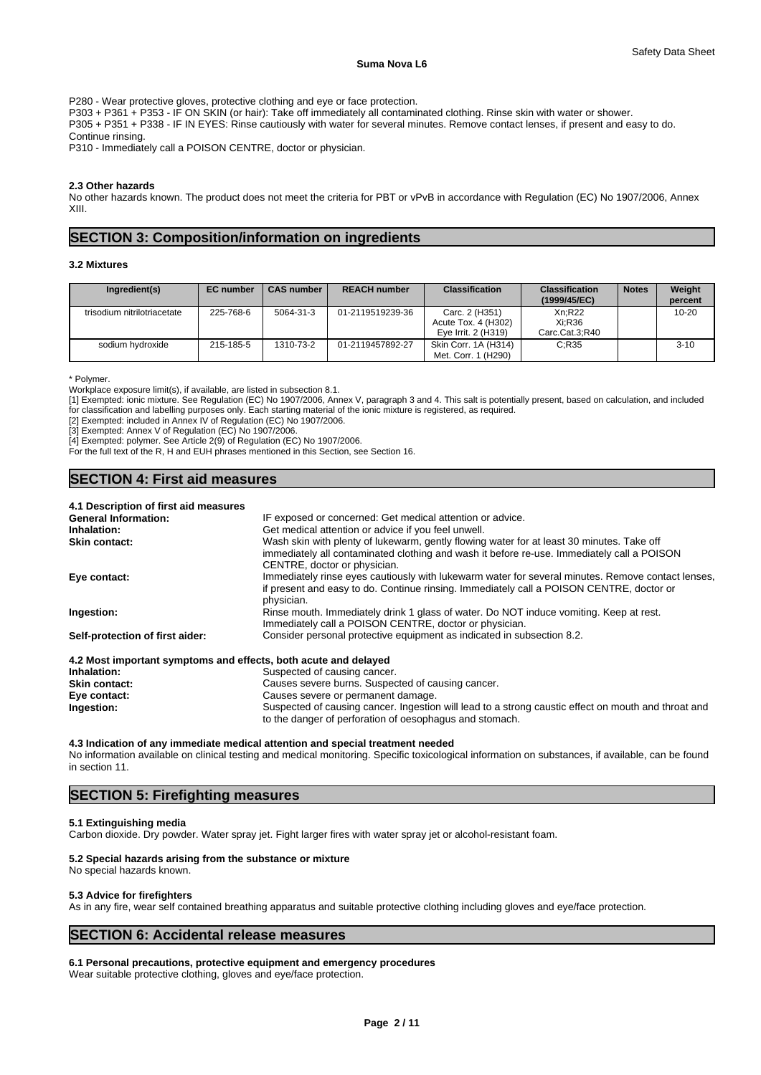P280 - Wear protective gloves, protective clothing and eye or face protection.

P303 + P361 + P353 - IF ON SKIN (or hair): Take off immediately all contaminated clothing. Rinse skin with water or shower.

P305 + P351 + P338 - IF IN EYES: Rinse cautiously with water for several minutes. Remove contact lenses, if present and easy to do.

Continue rinsing.

P310 - Immediately call a POISON CENTRE, doctor or physician.

## **2.3 Other hazards**

No other hazards known. The product does not meet the criteria for PBT or vPvB in accordance with Regulation (EC) No 1907/2006, Annex XIII.

## **SECTION 3: Composition/information on ingredients**

#### **3.2 Mixtures**

| Ingredient(s)               | <b>EC</b> number | <b>CAS number</b> | <b>REACH number</b> | <b>Classification</b>                                        | <b>Classification</b><br>(1999/45/EC) | <b>Notes</b> | Weight<br>percent |
|-----------------------------|------------------|-------------------|---------------------|--------------------------------------------------------------|---------------------------------------|--------------|-------------------|
| trisodium nitrilotriacetate | 225-768-6        | 5064-31-3         | 01-2119519239-36    | Carc. 2 (H351)<br>Acute Tox. 4 (H302)<br>Eye Irrit. 2 (H319) | Xn:R22<br>Xi:R36<br>Carc.Cat.3:R40    |              | $10 - 20$         |
| sodium hydroxide            | 215-185-5        | 1310-73-2         | 01-2119457892-27    | Skin Corr. 1A (H314)<br>Met. Corr. 1 (H290)                  | C:R35                                 |              | $3 - 10$          |

\* Polymer.

Workplace exposure limit(s), if available, are listed in subsection 8.1.

[1] Exempted: ionic mixture. See Regulation (EC) No 1907/2006, Annex V, paragraph 3 and 4. This salt is potentially present, based on calculation, and included for classification and labelling purposes only. Each starting material of the ionic mixture is registered, as required.

[2] Exempted: included in Annex IV of Regulation (EC) No 1907/2006.

[3] Exempted: Annex V of Regulation (EC) No 1907/2006.

[4] Exempted: polymer. See Article 2(9) of Regulation (EC) No 1907/2006.

For the full text of the R, H and EUH phrases mentioned in this Section, see Section 16.

# **SECTION 4: First aid measures**

| 4.1 Description of first aid measures                           |                                                                                                   |
|-----------------------------------------------------------------|---------------------------------------------------------------------------------------------------|
| <b>General Information:</b>                                     | IF exposed or concerned: Get medical attention or advice.                                         |
| Inhalation:                                                     | Get medical attention or advice if you feel unwell.                                               |
| Skin contact:                                                   | Wash skin with plenty of lukewarm, gently flowing water for at least 30 minutes. Take off         |
|                                                                 | immediately all contaminated clothing and wash it before re-use. Immediately call a POISON        |
|                                                                 | CENTRE, doctor or physician.                                                                      |
| Eye contact:                                                    | Immediately rinse eyes cautiously with lukewarm water for several minutes. Remove contact lenses, |
|                                                                 | if present and easy to do. Continue rinsing. Immediately call a POISON CENTRE, doctor or          |
|                                                                 | physician.                                                                                        |
| Ingestion:                                                      | Rinse mouth. Immediately drink 1 glass of water. Do NOT induce vomiting. Keep at rest.            |
|                                                                 | Immediately call a POISON CENTRE, doctor or physician.                                            |
| Self-protection of first aider:                                 | Consider personal protective equipment as indicated in subsection 8.2.                            |
| 4.2 Most important symptoms and effects, both acute and delayed |                                                                                                   |
| Inhalation:                                                     | Suspected of causing cancer.                                                                      |
| Skin contact:                                                   | Causes severe burns. Suspected of causing cancer                                                  |

| <b>Skin contact:</b> | Causes severe burns. Suspected of causing cancer.                                                   |
|----------------------|-----------------------------------------------------------------------------------------------------|
| Eve contact:         | Causes severe or permanent damage.                                                                  |
| Ingestion:           | Suspected of causing cancer. Ingestion will lead to a strong caustic effect on mouth and throat and |
|                      | to the danger of perforation of oesophagus and stomach.                                             |

#### **4.3 Indication of any immediate medical attention and special treatment needed**

No information available on clinical testing and medical monitoring. Specific toxicological information on substances, if available, can be found in section 11.

## **SECTION 5: Firefighting measures**

#### **5.1 Extinguishing media**

Carbon dioxide. Dry powder. Water spray jet. Fight larger fires with water spray jet or alcohol-resistant foam.

## **5.2 Special hazards arising from the substance or mixture**

No special hazards known.

## **5.3 Advice for firefighters**

As in any fire, wear self contained breathing apparatus and suitable protective clothing including gloves and eve/face protection.

## **SECTION 6: Accidental release measures**

# **6.1 Personal precautions, protective equipment and emergency procedures**

Wear suitable protective clothing, gloves and eye/face protection.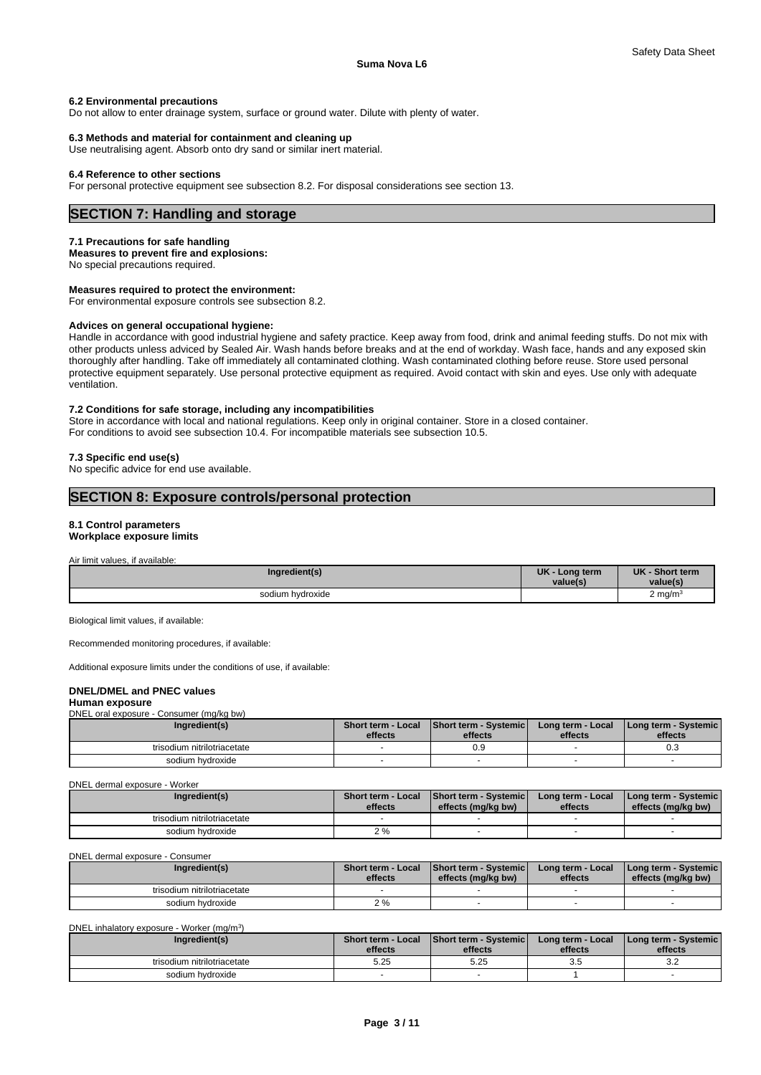#### **6.2 Environmental precautions**

Do not allow to enter drainage system, surface or ground water. Dilute with plenty of water.

#### **6.3 Methods and material for containment and cleaning up**

Use neutralising agent. Absorb onto dry sand or similar inert material.

## **6.4 Reference to other sections**

For personal protective equipment see subsection 8.2. For disposal considerations see section 13.

## **SECTION 7: Handling and storage**

#### **7.1 Precautions for safe handling**

**Measures to prevent fire and explosions:** No special precautions required.

## **Measures required to protect the environment:**

For environmental exposure controls see subsection 8.2.

#### **Advices on general occupational hygiene:**

Handle in accordance with good industrial hygiene and safety practice. Keep away from food, drink and animal feeding stuffs. Do not mix with other products unless adviced by Sealed Air. Wash hands before breaks and at the end of workday. Wash face, hands and any exposed skin thoroughly after handling. Take off immediately all contaminated clothing. Wash contaminated clothing before reuse. Store used personal protective equipment separately. Use personal protective equipment as required. Avoid contact with skin and eyes. Use only with adequate ventilation.

#### **7.2 Conditions for safe storage, including any incompatibilities**

Store in accordance with local and national regulations. Keep only in original container. Store in a closed container. For conditions to avoid see subsection 10.4. For incompatible materials see subsection 10.5.

#### **7.3 Specific end use(s)**

No specific advice for end use available.

## **SECTION 8: Exposure controls/personal protection**

## **8.1 Control parameters**

**Workplace exposure limits**

Air limit values, if available:

| Ingredient(s)    | <b>UK</b><br>⋅ Long term<br>value(s) | <b>UK</b><br>Short term<br>value(s |  |
|------------------|--------------------------------------|------------------------------------|--|
| sodium hydroxide |                                      | $2 \text{ ma/m}^3$                 |  |

Biological limit values, if available:

Recommended monitoring procedures, if available:

Additional exposure limits under the conditions of use, if available:

### **DNEL/DMEL and PNEC values**

#### **Human exposure** DNEL oral exposure - Consumer (mg/kg bw)

| Ingredient(s)               | Short term - Local<br>effects | <b>Short term - Systemic</b><br>effects | Long term - Local<br>effects | Long term - Systemic  <br>effects |
|-----------------------------|-------------------------------|-----------------------------------------|------------------------------|-----------------------------------|
| trisodium nitrilotriacetate |                               | 0.9                                     |                              | ∪.∪                               |
| sodium hvdroxide            |                               |                                         |                              |                                   |

#### DNEL dermal exposure - Worker

| Ingredient(s)               | Short term - Local<br>effects | <b>Short term - Systemic</b><br>effects (mg/kg bw) | Long term - Local<br>effects | I Long term - Systemic I<br>effects (mg/kg bw) |  |
|-----------------------------|-------------------------------|----------------------------------------------------|------------------------------|------------------------------------------------|--|
| trisodium nitrilotriacetate |                               |                                                    |                              |                                                |  |
| sodium hydroxide            |                               |                                                    |                              |                                                |  |

DNEL dermal exposure - Consumer

| Ingredient(s)               | <b>Short term - Local</b><br>effects | <b>Short term - Systemic</b><br>effects (mg/kg bw) | Long term - Local<br>effects | I Long term - Systemic I<br>effects (mg/kg bw) |
|-----------------------------|--------------------------------------|----------------------------------------------------|------------------------------|------------------------------------------------|
| trisodium nitrilotriacetate |                                      |                                                    |                              |                                                |
| sodium hydroxide            | $2\%$                                |                                                    |                              |                                                |

DNEL inhalatory exposure - Worker (mg/m<sup>3</sup>

) and  $\overline{\phantom{a}}$ 

| Ingredient(s)               | <b>Short term - Local</b><br>effects | <b>Short term - Systemic</b><br>effects | Long term - Local<br>effects | Long term - Systemic  <br>effects |  |
|-----------------------------|--------------------------------------|-----------------------------------------|------------------------------|-----------------------------------|--|
| trisodium nitrilotriacetate | 5.25                                 | 5.25                                    | ◡                            | ے.د                               |  |
| sodium hydroxide            |                                      |                                         |                              |                                   |  |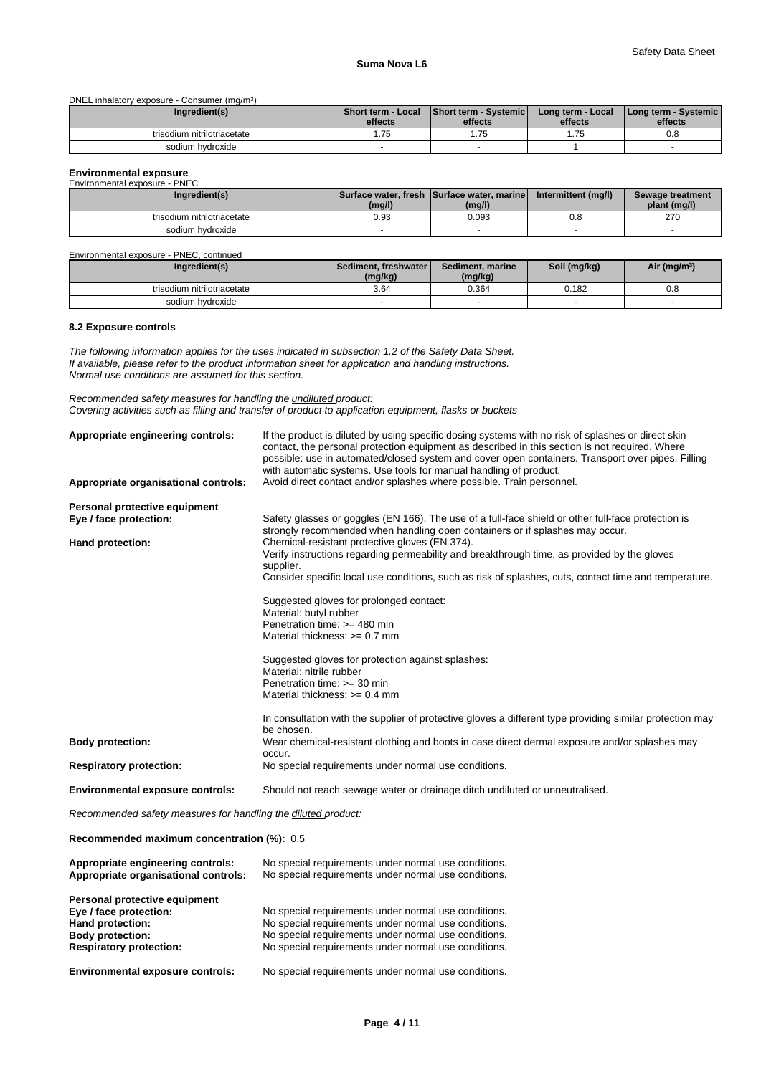DNEL inhalatory exposure - Consumer (mg/m<sup>3</sup>)  $)$ 

| Ingredient(s)               | Short term - Local<br>effects | Short term - Systemic<br>effects | Long term - Local<br>effects | Long term - Systemic  <br>effects |
|-----------------------------|-------------------------------|----------------------------------|------------------------------|-----------------------------------|
| trisodium nitrilotriacetate | $- -$                         | ں ،                              | $- -$<br>ن ، ، ،             | 0.8                               |
| sodium hydroxide            |                               |                                  |                              |                                   |

# **Environmental exposure**<br>Environmental exposure - PNE

| Environmental exposure - PNEC |        |                                                      |                     |                                  |
|-------------------------------|--------|------------------------------------------------------|---------------------|----------------------------------|
| Ingredient(s)                 | (mg/l) | Surface water, fresh Surface water, marine<br>(mg/l) | Intermittent (mg/l) | Sewage treatment<br>plant (mg/l) |
| trisodium nitrilotriacetate   | 0.93   | 0.093                                                | 0.8                 | 270                              |
| sodium hydroxide              |        |                                                      |                     |                                  |

Environmental exposure - PNEC, continued

| Ingredient(s)               | l Sediment. freshwater l<br>(mg/kg) | Sediment, marine<br>(mg/kg) | Soil (mg/kg) | Air (mg/m <sup>3</sup> ) |  |
|-----------------------------|-------------------------------------|-----------------------------|--------------|--------------------------|--|
| trisodium nitrilotriacetate | 3.64                                | 0.364                       | 0.182        | 0.8                      |  |
| sodium hydroxide            |                                     |                             |              |                          |  |

## **8.2 Exposure controls**

*The following information applies for the uses indicated in subsection 1.2 of the Safety Data Sheet. If available, please refer to the product information sheet for application and handling instructions. Normal use conditions are assumed for this section.*

*Recommended safety measures for handling the undiluted product: Covering activities such as filling and transfer of product to application equipment, flasks or buckets*

| Appropriate engineering controls:<br>Appropriate organisational controls: | If the product is diluted by using specific dosing systems with no risk of splashes or direct skin<br>contact, the personal protection equipment as described in this section is not required. Where<br>possible: use in automated/closed system and cover open containers. Transport over pipes. Filling<br>with automatic systems. Use tools for manual handling of product.<br>Avoid direct contact and/or splashes where possible. Train personnel. |
|---------------------------------------------------------------------------|---------------------------------------------------------------------------------------------------------------------------------------------------------------------------------------------------------------------------------------------------------------------------------------------------------------------------------------------------------------------------------------------------------------------------------------------------------|
|                                                                           |                                                                                                                                                                                                                                                                                                                                                                                                                                                         |
| Personal protective equipment                                             |                                                                                                                                                                                                                                                                                                                                                                                                                                                         |
| Eye / face protection:                                                    | Safety glasses or goggles (EN 166). The use of a full-face shield or other full-face protection is                                                                                                                                                                                                                                                                                                                                                      |
|                                                                           | strongly recommended when handling open containers or if splashes may occur.                                                                                                                                                                                                                                                                                                                                                                            |
| Hand protection:                                                          | Chemical-resistant protective gloves (EN 374).                                                                                                                                                                                                                                                                                                                                                                                                          |
|                                                                           | Verify instructions regarding permeability and breakthrough time, as provided by the gloves<br>supplier.                                                                                                                                                                                                                                                                                                                                                |
|                                                                           | Consider specific local use conditions, such as risk of splashes, cuts, contact time and temperature.                                                                                                                                                                                                                                                                                                                                                   |
|                                                                           |                                                                                                                                                                                                                                                                                                                                                                                                                                                         |
|                                                                           | Suggested gloves for prolonged contact:                                                                                                                                                                                                                                                                                                                                                                                                                 |
|                                                                           | Material: butyl rubber                                                                                                                                                                                                                                                                                                                                                                                                                                  |
|                                                                           | Penetration time: $>=$ 480 min                                                                                                                                                                                                                                                                                                                                                                                                                          |
|                                                                           | Material thickness: $>= 0.7$ mm                                                                                                                                                                                                                                                                                                                                                                                                                         |
|                                                                           |                                                                                                                                                                                                                                                                                                                                                                                                                                                         |
|                                                                           | Suggested gloves for protection against splashes:                                                                                                                                                                                                                                                                                                                                                                                                       |
|                                                                           | Material: nitrile rubber<br>Penetration time: $>=$ 30 min                                                                                                                                                                                                                                                                                                                                                                                               |
|                                                                           | Material thickness: $>= 0.4$ mm                                                                                                                                                                                                                                                                                                                                                                                                                         |
|                                                                           |                                                                                                                                                                                                                                                                                                                                                                                                                                                         |
|                                                                           | In consultation with the supplier of protective gloves a different type providing similar protection may                                                                                                                                                                                                                                                                                                                                                |
|                                                                           | be chosen.                                                                                                                                                                                                                                                                                                                                                                                                                                              |
| <b>Body protection:</b>                                                   | Wear chemical-resistant clothing and boots in case direct dermal exposure and/or splashes may                                                                                                                                                                                                                                                                                                                                                           |
|                                                                           | occur.                                                                                                                                                                                                                                                                                                                                                                                                                                                  |
| <b>Respiratory protection:</b>                                            | No special requirements under normal use conditions.                                                                                                                                                                                                                                                                                                                                                                                                    |
| <b>Environmental exposure controls:</b>                                   | Should not reach sewage water or drainage ditch undiluted or unneutralised.                                                                                                                                                                                                                                                                                                                                                                             |
|                                                                           |                                                                                                                                                                                                                                                                                                                                                                                                                                                         |
|                                                                           |                                                                                                                                                                                                                                                                                                                                                                                                                                                         |

*Recommended safety measures for handling the diluted product:*

**Recommended maximum concentration (%):** 0.5

| Appropriate engineering controls:<br>Appropriate organisational controls: | No special requirements under normal use conditions.<br>No special requirements under normal use conditions. |
|---------------------------------------------------------------------------|--------------------------------------------------------------------------------------------------------------|
| Personal protective equipment                                             |                                                                                                              |
| Eye / face protection:                                                    | No special requirements under normal use conditions.                                                         |
| Hand protection:                                                          | No special requirements under normal use conditions.                                                         |
| <b>Body protection:</b>                                                   | No special requirements under normal use conditions.                                                         |
| <b>Respiratory protection:</b>                                            | No special requirements under normal use conditions.                                                         |
| <b>Environmental exposure controls:</b>                                   | No special requirements under normal use conditions.                                                         |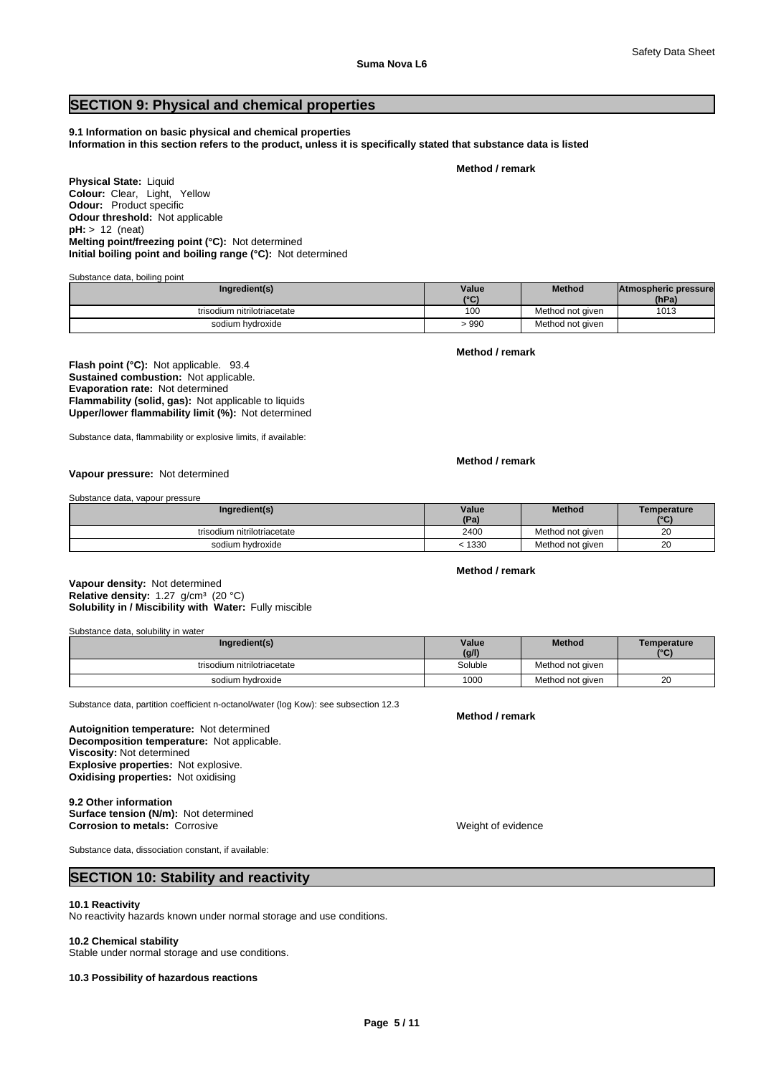# **SECTION 9: Physical and chemical properties**

**9.1 Information on basic physical and chemical properties Information in this section refers to the product, unless it is specifically stated that substance data is listed**

**Method / remark**

**Physical State:** Liquid **Colour:** Clear, Light, Yellow **Odour:** Product specific **Odour threshold:** Not applicable **pH:** > 12 (neat) **Initial boiling point and boiling range (°C):** Not determined **Melting point/freezing point (°C):** Not determined

Substance data, boiling point

| Ingredient(s)               | Value<br>10 <sup>o</sup> | <b>Method</b>    | Atmospheric pressure<br>(hPa) |  |
|-----------------------------|--------------------------|------------------|-------------------------------|--|
| trisodium nitrilotriacetate | 100                      | Method not given | 1013                          |  |
| sodium hydroxide            | . 990                    | Method not given |                               |  |

**Method / remark**

**Sustained combustion:** Not applicable. **Evaporation rate:** Not determined **Flammability (solid, gas):** Not applicable to liquids **Upper/lower flammability limit (%):** Not determined **Flash point (°C):** Not applicable. 93.4

Substance data, flammability or explosive limits, if available:

#### **Method / remark**

**Vapour pressure:** Not determined

Substance data, vapour pressure

| Ingredient(s)               | Value | <b>Method</b>    | Temperature  |
|-----------------------------|-------|------------------|--------------|
|                             | (Pa)  |                  | $10^{\circ}$ |
| trisodium nitrilotriacetate | 2400  | Method not given | 20           |
| sodium hvdroxide            | 1330  | Method not given | 20           |

## **Method / remark**

**Solubility in / Miscibility with Water:** Fully miscible **Vapour density:** Not determined **Relative density:** 1.27 g/cm<sup>3</sup> (20 °C)

Substance data, solubility in water

| Ingredient(s)               | Value   | <b>Method</b>    | Temperature  |
|-----------------------------|---------|------------------|--------------|
|                             | (g/l)   |                  | $10^{\circ}$ |
| trisodium nitrilotriacetate | Soluble | Method not given |              |
| sodium hydroxide            | 1000    | Method not given | 20           |

Substance data, partition coefficient n-octanol/water (log Kow): see subsection 12.3

**Decomposition temperature:** Not applicable. **Autoignition temperature:** Not determined **Viscosity:** Not determined **Explosive properties:** Not explosive. **Oxidising properties:** Not oxidising

**9.2 Other information Surface tension (N/m):** Not determined **Corrosion to metals:** Corrosive **Metals:** Corrosive **Weight of evidence** 

**Method / remark**

Substance data, dissociation constant, if available:

## **SECTION 10: Stability and reactivity**

#### **10.1 Reactivity**

No reactivity hazards known under normal storage and use conditions.

#### **10.2 Chemical stability**

Stable under normal storage and use conditions.

#### **10.3 Possibility of hazardous reactions**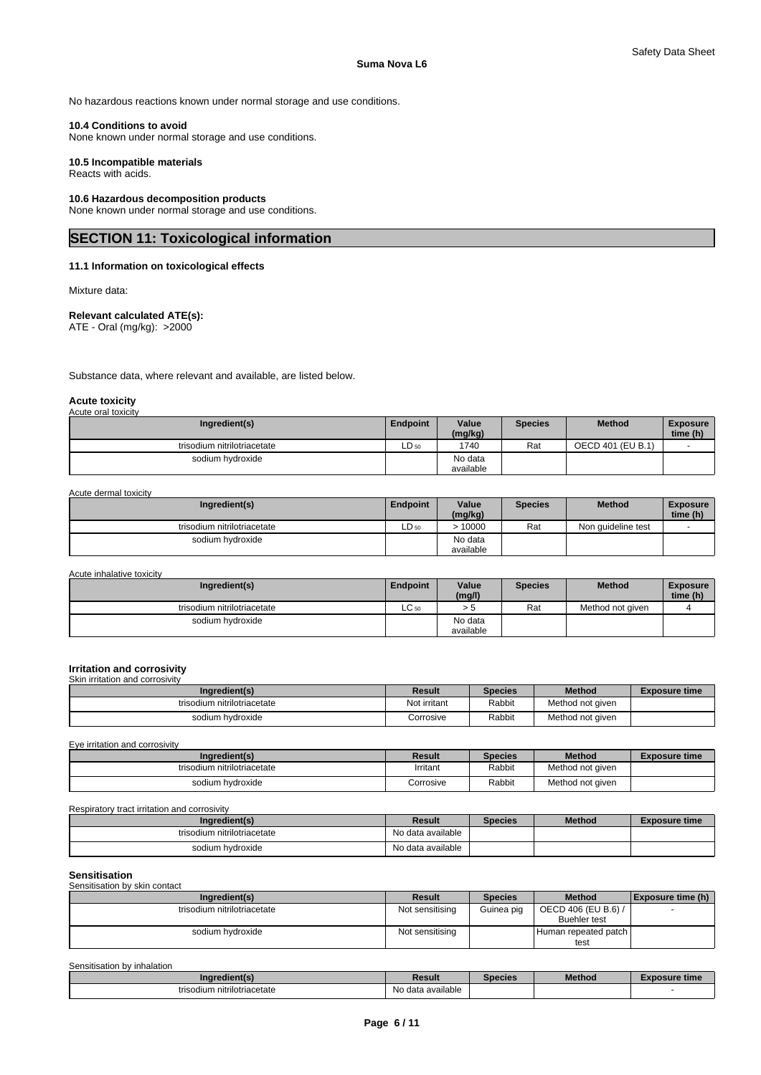No hazardous reactions known under normal storage and use conditions.

## **10.4 Conditions to avoid**

None known under normal storage and use conditions.

## **10.5 Incompatible materials**

Reacts with acids.

## **10.6 Hazardous decomposition products**

None known under normal storage and use conditions.

# **SECTION 11: Toxicological information**

## **11.1 Information on toxicological effects**

Mixture data:

## **Relevant calculated ATE(s):**

ATE - Oral (mg/kg): >2000

Substance data, where relevant and available, are listed below.

#### **Acute toxicity** Acute oral toxicity

| , loato oral toxiolty       |                 |                      |                |                   |                             |
|-----------------------------|-----------------|----------------------|----------------|-------------------|-----------------------------|
| Ingredient(s)               | <b>Endpoint</b> | Value<br>(mg/kg)     | <b>Species</b> | <b>Method</b>     | <b>Exposure</b><br>time (h) |
| trisodium nitrilotriacetate | $LD_{50}$       | 1740                 | Rat            | OECD 401 (EU B.1) |                             |
| sodium hydroxide            |                 | No data<br>available |                |                   |                             |

Acute dermal toxicity

| Ingredient(s)               | <b>Endpoint</b>  | Value<br>(mg/kg)     | Species | <b>Method</b>      | <b>Exposure</b><br>time (h) |
|-----------------------------|------------------|----------------------|---------|--------------------|-----------------------------|
| trisodium nitrilotriacetate | LD <sub>50</sub> | 10000                | Rat     | Non quideline test |                             |
| sodium hydroxide            |                  | No data<br>available |         |                    |                             |

Acute inhalative toxicity

| Ingredient(s)               | <b>Endpoint</b> | Value<br>(mg/l)      | <b>Species</b> | <b>Method</b>    | <b>Exposure</b><br>time (h) |
|-----------------------------|-----------------|----------------------|----------------|------------------|-----------------------------|
| trisodium nitrilotriacetate | $LC_{50}$       | ر, ح                 | Rat            | Method not given |                             |
| sodium hydroxide            |                 | No data<br>available |                |                  |                             |

#### **Irritation and corrosivity**

Skin irritation and corrosivity

| Ingredient(s)               | Result       | Species | <b>Method</b>    | <b>Exposure time</b> |
|-----------------------------|--------------|---------|------------------|----------------------|
| trisodium nitrilotriacetate | Not irritant | Rabbit  | Method not given |                      |
| sodium hydroxide            | Corrosive    | Rabbit  | Method not given |                      |

Eye irritation and corrosivity

| Ingredient(s)               | Result    | <b>Species</b> | <b>Method</b>    | <b>Exposure time</b> |
|-----------------------------|-----------|----------------|------------------|----------------------|
| trisodium nitrilotriacetate | Irritant  | Rabbit         | Method not given |                      |
| sodium hydroxide            | Corrosive | Rabbit         | Method not given |                      |

#### Respiratory tract irritation and corrosivity

| Ingredient(s)               | Result                        | <b>Species</b> | <b>Method</b> | <b>Exposure time</b> |
|-----------------------------|-------------------------------|----------------|---------------|----------------------|
| trisodium nitrilotriacetate | $\cdots$<br>No data available |                |               |                      |
| sodium hydroxide            | No data available             |                |               |                      |

## **Sensitisation**

| -------------<br>Sensitisation by skin contact |                 |                |                                            |                           |
|------------------------------------------------|-----------------|----------------|--------------------------------------------|---------------------------|
| Ingredient(s)                                  | <b>Result</b>   | <b>Species</b> | <b>Method</b>                              | $\vert$ Exposure time (h) |
| trisodium nitrilotriacetate                    | Not sensitising | Guinea pig     | OECD 406 (EU B.6) /<br><b>Buehler test</b> |                           |
| sodium hvdroxide                               | Not sensitising |                | Human repeated patch  <br>test             |                           |

| Sensitisation by inhalation |                   |                |               |               |
|-----------------------------|-------------------|----------------|---------------|---------------|
| Ingredient(s)               | Result            | <b>Species</b> | <b>Method</b> | Exposure time |
| trisodium nitrilotriacetate | No data available |                |               |               |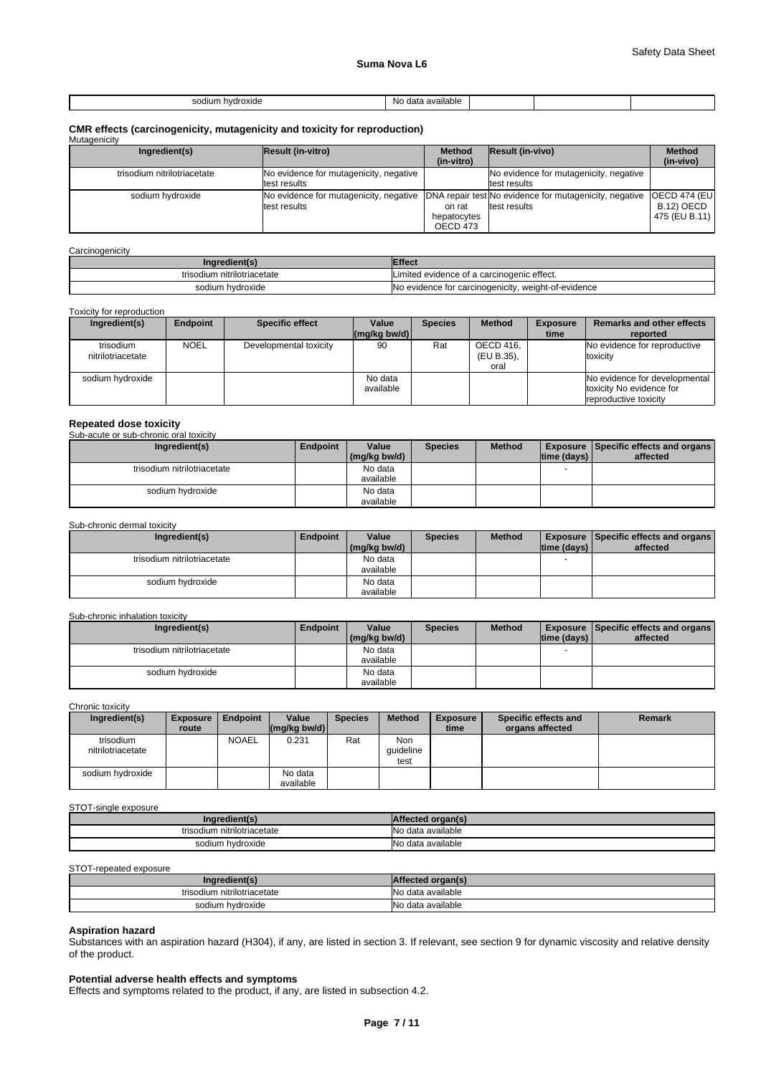| sodium<br>hvdroxide<br>. | -No<br>available<br>data<br>้<br>. |  |  |
|--------------------------|------------------------------------|--|--|

# **CMR effects (carcinogenicity, mutagenicity and toxicity for reproduction)** Mutagenicity

| <b>IVIULAY</b> CHILLY       |                                                                                                                |                                   |                                                        |                                                       |
|-----------------------------|----------------------------------------------------------------------------------------------------------------|-----------------------------------|--------------------------------------------------------|-------------------------------------------------------|
| Ingredient(s)               | Result (in-vitro)                                                                                              | <b>Method</b><br>(in-vitro)       | <b>Result (in-vivo)</b>                                | <b>Method</b><br>(in-vivo)                            |
| trisodium nitrilotriacetate | No evidence for mutagenicity, negative<br>test results                                                         |                                   | No evidence for mutagenicity, negative<br>test results |                                                       |
| sodium hydroxide            | No evidence for mutagenicity, negative IDNA repair test No evidence for mutagenicity, negative<br>test results | on rat<br>hepatocytes<br>OECD 473 | test results                                           | <b>OECD 474 (EUI</b><br>B.12) OECD<br>  475 (EU B.11) |

#### **Carcinogenicity**

| Ingredient(s)               | <b>Effect</b>                                            |
|-----------------------------|----------------------------------------------------------|
| trisodium nitrilotriacetate | ' imited evidence of a carcinogenic effect.              |
| sodium hydroxide            | No evidence for carcinogenicity,<br>. weight-of-evidence |

### Toxicity for reproduction

| Ingredient(s)                  | Endpoint    | <b>Specific effect</b> | Value<br>$\lfloor (mq/kg) \cdot (md) \rfloor$ | <b>Species</b> | <b>Method</b>                   | <b>Exposure</b><br>time | <b>Remarks and other effects</b><br>reported                                       |
|--------------------------------|-------------|------------------------|-----------------------------------------------|----------------|---------------------------------|-------------------------|------------------------------------------------------------------------------------|
| trisodium<br>nitrilotriacetate | <b>NOEL</b> | Developmental toxicity | 90                                            | Rat            | OECD 416.<br>(EU B.35),<br>oral |                         | No evidence for reproductive<br>toxicity                                           |
| sodium hydroxide               |             |                        | No data<br>available                          |                |                                 |                         | No evidence for developmental<br>toxicity No evidence for<br>reproductive toxicity |

# **Repeated dose toxicity** Sub-acute or sub-chronic oral toxicity

| Ingredient(s)               | Endpoint | Value        | <b>Species</b> | <b>Method</b> |             | <b>Exposure   Specific effects and organs  </b> |
|-----------------------------|----------|--------------|----------------|---------------|-------------|-------------------------------------------------|
|                             |          | (mg/kg bw/d) |                |               | time (days) | affected                                        |
| trisodium nitrilotriacetate |          | No data      |                |               |             |                                                 |
|                             |          | available    |                |               |             |                                                 |
| sodium hydroxide            |          | No data      |                |               |             |                                                 |
|                             |          | available    |                |               |             |                                                 |

### Sub-chronic dermal toxicity

| Ingredient(s)               | <b>Endpoint</b> | Value        | <b>Species</b> | <b>Method</b> |                | <b>Exposure Specific effects and organs</b> |
|-----------------------------|-----------------|--------------|----------------|---------------|----------------|---------------------------------------------|
|                             |                 | (mg/kg bw/d) |                |               | Itime (davs) I | affected                                    |
| trisodium nitrilotriacetate |                 | No data      |                |               |                |                                             |
|                             |                 | available    |                |               |                |                                             |
| sodium hydroxide            |                 | No data      |                |               |                |                                             |
|                             |                 | available    |                |               |                |                                             |

#### Sub-chronic inhalation toxicity

| Ingredient(s)               | <b>Endpoint</b> | Value<br>(mg/kg bw/d) | <b>Species</b> | <b>Method</b> | time (days) | <b>Exposure Specific effects and organs</b><br>affected |
|-----------------------------|-----------------|-----------------------|----------------|---------------|-------------|---------------------------------------------------------|
|                             |                 |                       |                |               |             |                                                         |
| trisodium nitrilotriacetate |                 | No data               |                |               |             |                                                         |
|                             |                 | available             |                |               |             |                                                         |
| sodium hvdroxide            |                 | No data               |                |               |             |                                                         |
|                             |                 | available             |                |               |             |                                                         |

### Chronic toxicity

| Ingredient(s)                  | <b>Exposure</b><br>route | Endpoint     | Value<br>$\left \frac{\text{mg}}{\text{kg}}\right $ (mg/kg bw/d) | <b>Species</b> | <b>Method</b>            | <b>Exposure</b><br>time | Specific effects and<br>organs affected | <b>Remark</b> |
|--------------------------------|--------------------------|--------------|------------------------------------------------------------------|----------------|--------------------------|-------------------------|-----------------------------------------|---------------|
| trisodium<br>nitrilotriacetate |                          | <b>NOAEL</b> | 0.231                                                            | Rat            | Non<br>quideline<br>test |                         |                                         |               |
| sodium hydroxide               |                          |              | No data<br>available                                             |                |                          |                         |                                         |               |

#### STOT-single exposure

| trisodium nitrilotriacetate | ∘ data available |
|-----------------------------|------------------|
| sodium hydroxide            | data available   |

### STOT-repeated exposure

| redient(s)<br>.na           | - ultu-           |
|-----------------------------|-------------------|
| trisodium nitrilotriacetate | No data available |
| sodium hydroxide            | No data available |

## **Aspiration hazard**

Substances with an aspiration hazard (H304), if any, are listed in section 3. If relevant, see section 9 for dynamic viscosity and relative density of the product.

## **Potential adverse health effects and symptoms**

Effects and symptoms related to the product, if any, are listed in subsection 4.2.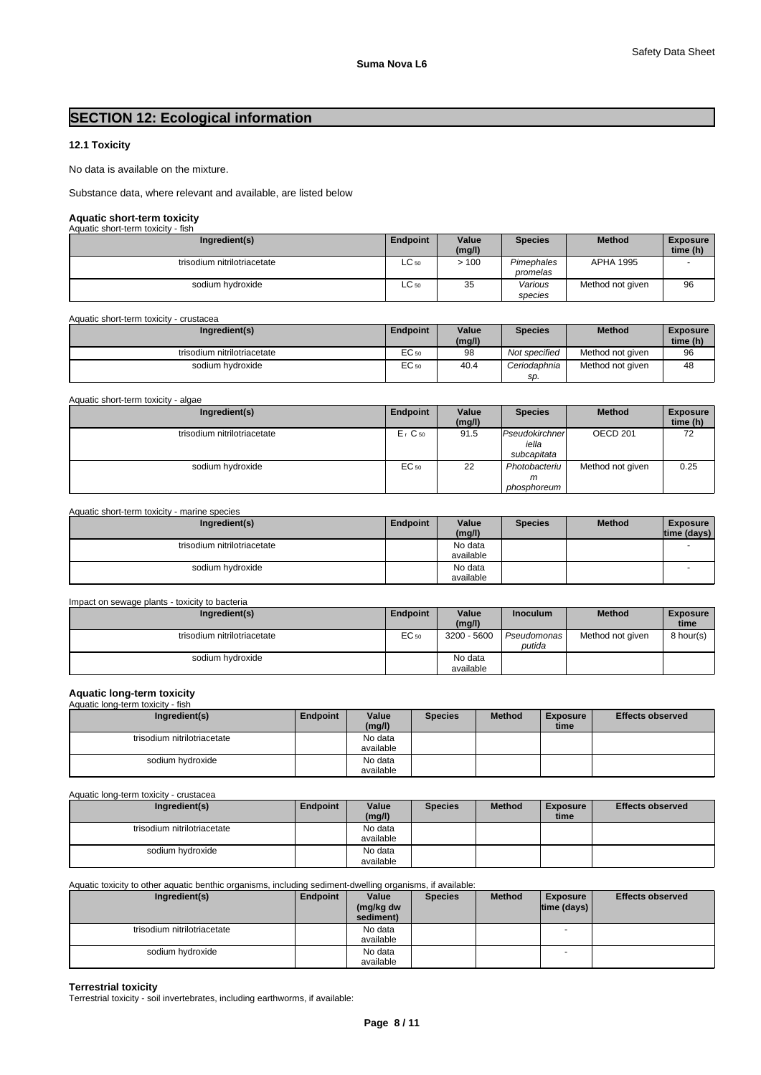# **SECTION 12: Ecological information**

## **12.1 Toxicity**

No data is available on the mixture.

Substance data, where relevant and available, are listed below

# **Aquatic short-term toxicity** Aquatic short-term toxicity - fish

| AUUAUC SIIVIL-LEITII LUAICILY - IISIT |                 |                 |                        |                  |                             |  |  |  |
|---------------------------------------|-----------------|-----------------|------------------------|------------------|-----------------------------|--|--|--|
| Ingredient(s)                         | <b>Endpoint</b> | Value<br>(mg/l) | <b>Species</b>         | <b>Method</b>    | <b>Exposure</b><br>time (h) |  |  |  |
| trisodium nitrilotriacetate           | $LC_{50}$       | >100            | Pimephales<br>promelas | <b>APHA 1995</b> |                             |  |  |  |
| sodium hydroxide                      | $LC_{50}$       | 35              | Various<br>species     | Method not given | 96                          |  |  |  |

Aquatic short-term toxicity - crustacea

| Ingredient(s)               | <b>Endpoint</b>     | Value<br>(mg/l) | Species       | <b>Method</b>    | <b>Exposure</b><br>time (h) |
|-----------------------------|---------------------|-----------------|---------------|------------------|-----------------------------|
| trisodium nitrilotriacetate | $\sqrt{2}$<br>EC 50 | 98              | Not specified | Method not given | 96                          |
| sodium hydroxide            | $\sqrt{2}$<br>EU 50 | 40.4            | Ceriodaphnia  | Method not given | 48                          |
|                             |                     |                 | SD.           |                  |                             |

Aquatic short-term toxicity - algae

| Ingredient(s)               | Endpoint             | Value<br>(mg/l) | <b>Species</b>                         | <b>Method</b>    | <b>Exposure</b><br>time (h) |
|-----------------------------|----------------------|-----------------|----------------------------------------|------------------|-----------------------------|
| trisodium nitrilotriacetate | $Er$ C <sub>50</sub> | 91.5            | Pseudokirchner<br>iella<br>subcapitata | OECD 201         | 72                          |
| sodium hydroxide            | EC 50                | 22              | Photobacteriu<br>m<br>phosphoreum      | Method not given | 0.25                        |

#### Aquatic short-term toxicity - marine species

| Ingredient(s)               | <b>Endpoint</b> | Value<br>(mg/l)      | <b>Species</b> | <b>Method</b> | <b>Exposure</b><br>time (days) |  |
|-----------------------------|-----------------|----------------------|----------------|---------------|--------------------------------|--|
| trisodium nitrilotriacetate |                 | No data<br>available |                |               |                                |  |
| sodium hydroxide            |                 | No data<br>available |                |               |                                |  |

| Impact on sewage plants - toxicity to bacteria |                  |                      |                       |                  |                         |  |  |  |  |
|------------------------------------------------|------------------|----------------------|-----------------------|------------------|-------------------------|--|--|--|--|
| Ingredient(s)                                  | Endpoint         | Value<br>(mg/l)      | <b>Inoculum</b>       | <b>Method</b>    | <b>Exposure</b><br>time |  |  |  |  |
| trisodium nitrilotriacetate                    | EC <sub>50</sub> | 3200 - 5600          | Pseudomonas<br>putida | Method not given | 8 hour(s)               |  |  |  |  |
| sodium hydroxide                               |                  | No data<br>available |                       |                  |                         |  |  |  |  |

# **Aquatic long-term toxicity** Aquatic long-term toxicity - fish

| Ingredient(s)               | Endpoint | Value<br>(mg/l)      | <b>Species</b> | <b>Method</b> | <b>Exposure</b><br>time | <b>Effects observed</b> |
|-----------------------------|----------|----------------------|----------------|---------------|-------------------------|-------------------------|
| trisodium nitrilotriacetate |          | No data<br>available |                |               |                         |                         |
| sodium hvdroxide            |          | No data              |                |               |                         |                         |
|                             |          | available            |                |               |                         |                         |

Aquatic long-term toxicity - crustacea

| Ingredient(s)               | Endpoint | Value                | <b>Species</b> | <b>Method</b> | <b>Exposure</b> | <b>Effects observed</b> |
|-----------------------------|----------|----------------------|----------------|---------------|-----------------|-------------------------|
|                             |          | (mg/l)               |                |               | time            |                         |
| trisodium nitrilotriacetate |          | No data<br>available |                |               |                 |                         |
| sodium hydroxide            |          | No data<br>available |                |               |                 |                         |

Aquatic toxicity to other aquatic benthic organisms, including sediment-dwelling organisms, if available:

| Ingredient(s)               | Endpoint | Value<br>(mg/kg dw | <b>Species</b> | <b>Method</b> | <b>Exposure</b><br> time (days) | <b>Effects observed</b> |
|-----------------------------|----------|--------------------|----------------|---------------|---------------------------------|-------------------------|
|                             |          | sediment)          |                |               |                                 |                         |
| trisodium nitrilotriacetate |          | No data            |                |               | $\sim$                          |                         |
|                             |          | available          |                |               |                                 |                         |
| sodium hydroxide            |          | No data            |                |               |                                 |                         |
|                             |          | available          |                |               |                                 |                         |

## **Terrestrial toxicity**

Terrestrial toxicity - soil invertebrates, including earthworms, if available: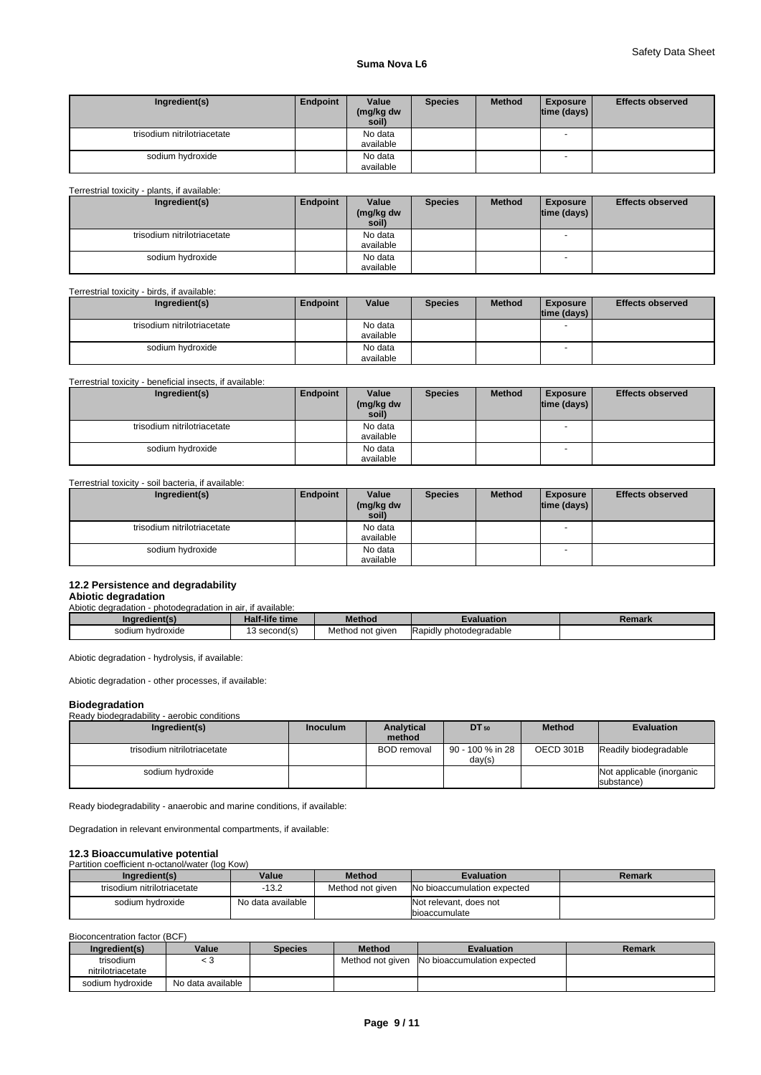## **Suma Nova L6**

| Ingredient(s)               | Endpoint | Value<br>(mg/kg dw<br>soil) | <b>Species</b> | <b>Method</b> | <b>Exposure</b><br> time (days) | <b>Effects observed</b> |
|-----------------------------|----------|-----------------------------|----------------|---------------|---------------------------------|-------------------------|
| trisodium nitrilotriacetate |          | No data<br>available        |                |               | $\overline{\phantom{a}}$        |                         |
| sodium hydroxide            |          | No data<br>available        |                |               |                                 |                         |

## Terrestrial toxicity - plants, if available:

| Ingredient(s)               | Endpoint | Value<br>(mg/kg dw<br>soil) | <b>Species</b> | <b>Method</b> | <b>Exposure</b><br> time (days) | <b>Effects observed</b> |
|-----------------------------|----------|-----------------------------|----------------|---------------|---------------------------------|-------------------------|
| trisodium nitrilotriacetate |          | No data                     |                |               | $\overline{\phantom{a}}$        |                         |
|                             |          | available                   |                |               |                                 |                         |
| sodium hvdroxide            |          | No data                     |                |               |                                 |                         |
|                             |          | available                   |                |               |                                 |                         |

## Terrestrial toxicity - birds, if available:

| Ingredient(s)               | Endpoint | Value                | <b>Species</b> | <b>Method</b> | <b>Exposure</b><br>$ time$ (days) $ $ | <b>Effects observed</b> |
|-----------------------------|----------|----------------------|----------------|---------------|---------------------------------------|-------------------------|
| trisodium nitrilotriacetate |          | No data<br>available |                |               |                                       |                         |
| sodium hydroxide            |          | No data<br>available |                |               | - -                                   |                         |

## Terrestrial toxicity - beneficial insects, if available:

| Ingredient(s)               | Endpoint | Value              | <b>Species</b> | <b>Method</b> | <b>Exposure</b>          | <b>Effects observed</b> |
|-----------------------------|----------|--------------------|----------------|---------------|--------------------------|-------------------------|
|                             |          | (mg/kg dw<br>soil) |                |               | time (days)              |                         |
| trisodium nitrilotriacetate |          | No data            |                |               | $\overline{\phantom{a}}$ |                         |
|                             |          | available          |                |               |                          |                         |
| sodium hydroxide            |          | No data            |                |               |                          |                         |
|                             |          | available          |                |               |                          |                         |

Terrestrial toxicity - soil bacteria, if available:

| Ingredient(s)               | Endpoint | Value              | <b>Species</b> | <b>Method</b> | <b>Exposure</b>          | <b>Effects observed</b> |
|-----------------------------|----------|--------------------|----------------|---------------|--------------------------|-------------------------|
|                             |          | (mg/kg dw<br>soil) |                |               | $ time$ (days) $ $       |                         |
|                             |          |                    |                |               |                          |                         |
| trisodium nitrilotriacetate |          | No data            |                |               | -                        |                         |
|                             |          | available          |                |               |                          |                         |
| sodium hydroxide            |          | No data            |                |               | $\overline{\phantom{a}}$ |                         |
|                             |          | available          |                |               |                          |                         |

## **12.2 Persistence and degradability**

#### **Abiotic degradation** Abiotic degradation - photodegradation in air, if available:

| ingredient(s)    | <b>Half-life time</b>  | <b>Method</b>    | :valuation                                  | Remark |  |  |  |  |  |  |  |
|------------------|------------------------|------------------|---------------------------------------------|--------|--|--|--|--|--|--|--|
| sodium hydroxide | $\cdot$<br>3 second(s) | Method not given | $\cdots$<br><b>IRapidly photodegradable</b> |        |  |  |  |  |  |  |  |

Abiotic degradation - hydrolysis, if available:

Abiotic degradation - other processes, if available:

## **Biodegradation**

# Ready biodegradability - aerobic conditions

| Ingredient(s)               | <b>Inoculum</b> | <b>Analytical</b><br>method | <b>DT</b> 50               | <b>Method</b> | <b>Evaluation</b>                       |
|-----------------------------|-----------------|-----------------------------|----------------------------|---------------|-----------------------------------------|
| trisodium nitrilotriacetate |                 | <b>BOD</b> removal          | 90 - 100 % in 28<br>day(s) | OECD 301B     | Readily biodegradable                   |
| sodium hvdroxide            |                 |                             |                            |               | Not applicable (inorganic<br>substance) |

Ready biodegradability - anaerobic and marine conditions, if available:

Degradation in relevant environmental compartments, if available:

# **12.3 Bioaccumulative potential**<br>Partition coefficient n-octanol/water (log Kow)

| Partition coemcient n-octanol/water (log Row) |                   |                  |                                                 |        |  |  |
|-----------------------------------------------|-------------------|------------------|-------------------------------------------------|--------|--|--|
| Ingredient(s)                                 | Value             | <b>Method</b>    | <b>Evaluation</b>                               | Remark |  |  |
| trisodium nitrilotriacetate                   | $-13.2$           | Method not aiven | No bioaccumulation expected                     |        |  |  |
| sodium hvdroxide                              | No data available |                  | Not relevant, does not<br><b>Ibioaccumulate</b> |        |  |  |

Bioconcentration factor (BCF)

| Ingredient(s)                  | Value             | <b>Species</b> | <b>Method</b> | <b>Evaluation</b>                             | Remark |
|--------------------------------|-------------------|----------------|---------------|-----------------------------------------------|--------|
| trisodium<br>nitrilotriacetate | ر.                |                |               | Method not given INo bioaccumulation expected |        |
| sodium hydroxide               | No data available |                |               |                                               |        |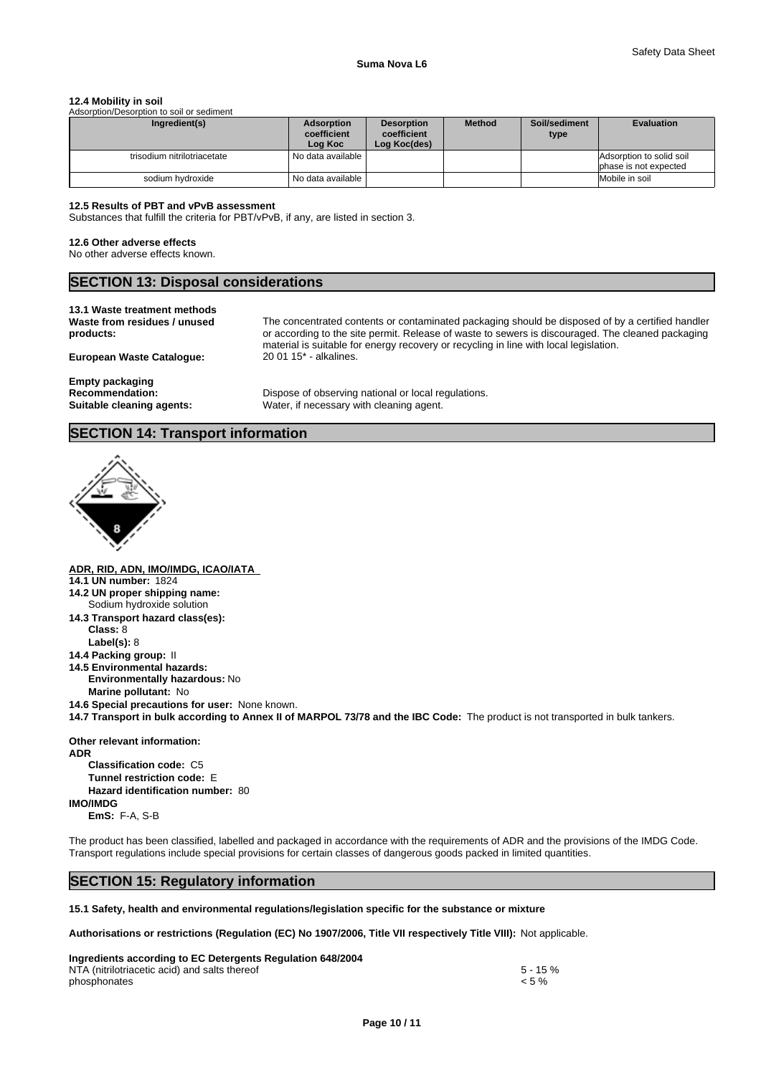#### **12.4 Mobility in soil**

| Adsorption/Desorption to soil or sediment |                                             |                                                  |               |                       |                                                   |
|-------------------------------------------|---------------------------------------------|--------------------------------------------------|---------------|-----------------------|---------------------------------------------------|
| Ingredient(s)                             | <b>Adsorption</b><br>coefficient<br>Log Koc | <b>Desorption</b><br>coefficient<br>Log Koc(des) | <b>Method</b> | Soil/sediment<br>type | <b>Evaluation</b>                                 |
| trisodium nitrilotriacetate               | No data available                           |                                                  |               |                       | Adsorption to solid soil<br>phase is not expected |
| sodium hvdroxide                          | No data available I                         |                                                  |               |                       | Mobile in soil                                    |

#### **12.5 Results of PBT and vPvB assessment**

Substances that fulfill the criteria for PBT/vPvB, if any, are listed in section 3.

#### **12.6 Other adverse effects**

No other adverse effects known.

## **SECTION 13: Disposal considerations**

## **13.1 Waste treatment methods**

**Waste from residues / unused products:**

**European Waste Catalogue:** 

The concentrated contents or contaminated packaging should be disposed of by a certified handler or according to the site permit. Release of waste to sewers is discouraged. The cleaned packaging material is suitable for energy recovery or recycling in line with local legislation.<br>20 01 15<sup>\*</sup> - alkalines.

**Empty packaging**

Recommendation: Dispose of observing national or local regulations. **Suitable cleaning agents:** Water, if necessary with cleaning agent.

## **SECTION 14: Transport information**



**ADR, RID, ADN, IMO/IMDG, ICAO/IATA 14.1 UN number:** 1824 **14.2 UN proper shipping name: 14.3 Transport hazard class(es): Class:** 8 **Label(s):** 8 **14.4 Packing group:** II **14.5 Environmental hazards: Environmentally hazardous:** No **Marine pollutant:** No Sodium hydroxide solution

**14.6 Special precautions for user:** None known.

**14.7 Transport in bulk according to Annex II of MARPOL 73/78 and the IBC Code:** The product is not transported in bulk tankers.

**Other relevant information:**

**ADR Classification code:** C5 **Tunnel restriction code:** E **Hazard identification number:** 80 **IMO/IMDG EmS:** F-A, S-B

The product has been classified, labelled and packaged in accordance with the requirements of ADR and the provisions of the IMDG Code. Transport regulations include special provisions for certain classes of dangerous goods packed in limited quantities.

## **SECTION 15: Regulatory information**

**15.1 Safety, health and environmental regulations/legislation specific for the substance or mixture**

**Authorisations or restrictions (Regulation (EC) No 1907/2006, Title VII respectively Title VIII):** Not applicable.

| Ingredients according to EC Detergents Regulation 648/2004 |             |
|------------------------------------------------------------|-------------|
| NTA (nitrilotriacetic acid) and salts thereof              | $5 - 15 \%$ |
| phosphonates                                               | $< 5 \%$    |